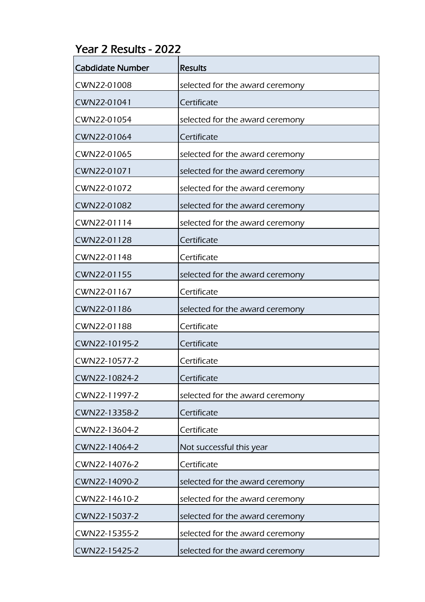## Year 2 Results - 2022

| <b>Cabdidate Number</b> | <b>Results</b>                  |
|-------------------------|---------------------------------|
| CWN22-01008             | selected for the award ceremony |
| CWN22-01041             | Certificate                     |
| CWN22-01054             | selected for the award ceremony |
| CWN22-01064             | Certificate                     |
| CWN22-01065             | selected for the award ceremony |
| CWN22-01071             | selected for the award ceremony |
| CWN22-01072             | selected for the award ceremony |
| CWN22-01082             | selected for the award ceremony |
| CWN22-01114             | selected for the award ceremony |
| CWN22-01128             | Certificate                     |
| CWN22-01148             | Certificate                     |
| CWN22-01155             | selected for the award ceremony |
| CWN22-01167             | Certificate                     |
| CWN22-01186             | selected for the award ceremony |
| CWN22-01188             | Certificate                     |
| CWN22-10195-2           | Certificate                     |
| CWN22-10577-2           | Certificate                     |
| CWN22-10824-2           | Certificate                     |
| CWN22-11997-2           | selected for the award ceremony |
| CWN22-13358-2           | Certificate                     |
| CWN22-13604-2           | Certificate                     |
| CWN22-14064-2           | Not successful this year        |
| CWN22-14076-2           | Certificate                     |
| CWN22-14090-2           | selected for the award ceremony |
| CWN22-14610-2           | selected for the award ceremony |
| CWN22-15037-2           | selected for the award ceremony |
| CWN22-15355-2           | selected for the award ceremony |
| CWN22-15425-2           | selected for the award ceremony |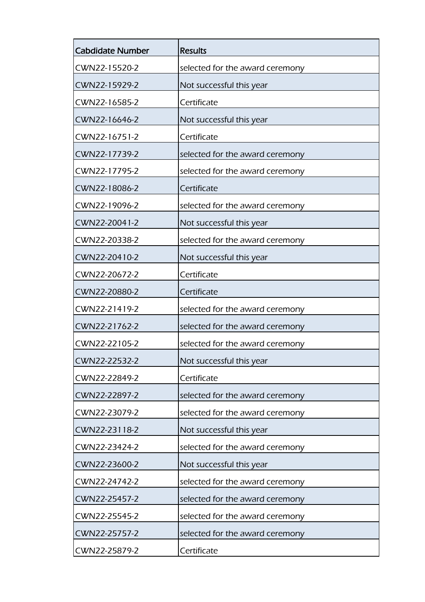| <b>Cabdidate Number</b> | <b>Results</b>                  |
|-------------------------|---------------------------------|
| CWN22-15520-2           | selected for the award ceremony |
| CWN22-15929-2           | Not successful this year        |
| CWN22-16585-2           | Certificate                     |
| CWN22-16646-2           | Not successful this year        |
| CWN22-16751-2           | Certificate                     |
| CWN22-17739-2           | selected for the award ceremony |
| CWN22-17795-2           | selected for the award ceremony |
| CWN22-18086-2           | Certificate                     |
| CWN22-19096-2           | selected for the award ceremony |
| CWN22-20041-2           | Not successful this year        |
| CWN22-20338-2           | selected for the award ceremony |
| CWN22-20410-2           | Not successful this year        |
| CWN22-20672-2           | Certificate                     |
| CWN22-20880-2           | Certificate                     |
| CWN22-21419-2           | selected for the award ceremony |
| CWN22-21762-2           | selected for the award ceremony |
| CWN22-22105-2           | selected for the award ceremony |
| CWN22-22532-2           | Not successful this year        |
| CWN22-22849-2           | Certificate                     |
| CWN22-22897-2           | selected for the award ceremony |
| CWN22-23079-2           | selected for the award ceremony |
| CWN22-23118-2           | Not successful this year        |
| CWN22-23424-2           | selected for the award ceremony |
| CWN22-23600-2           | Not successful this year        |
| CWN22-24742-2           | selected for the award ceremony |
| CWN22-25457-2           | selected for the award ceremony |
| CWN22-25545-2           | selected for the award ceremony |
| CWN22-25757-2           | selected for the award ceremony |
| CWN22-25879-2           | Certificate                     |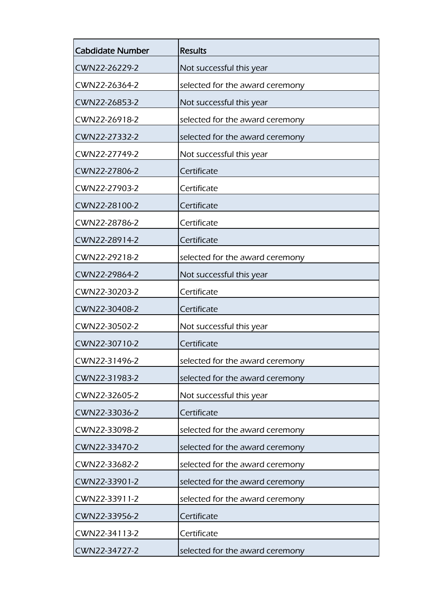| <b>Cabdidate Number</b> | <b>Results</b>                  |
|-------------------------|---------------------------------|
| CWN22-26229-2           | Not successful this year        |
| CWN22-26364-2           | selected for the award ceremony |
| CWN22-26853-2           | Not successful this year        |
| CWN22-26918-2           | selected for the award ceremony |
| CWN22-27332-2           | selected for the award ceremony |
| CWN22-27749-2           | Not successful this year        |
| CWN22-27806-2           | Certificate                     |
| CWN22-27903-2           | Certificate                     |
| CWN22-28100-2           | Certificate                     |
| CWN22-28786-2           | Certificate                     |
| CWN22-28914-2           | Certificate                     |
| CWN22-29218-2           | selected for the award ceremony |
| CWN22-29864-2           | Not successful this year        |
| CWN22-30203-2           | Certificate                     |
| CWN22-30408-2           | Certificate                     |
| CWN22-30502-2           | Not successful this year        |
| CWN22-30710-2           | Certificate                     |
| CWN22-31496-2           | selected for the award ceremony |
| CWN22-31983-2           | selected for the award ceremony |
| CWN22-32605-2           | Not successful this year        |
| CWN22-33036-2           | Certificate                     |
| CWN22-33098-2           | selected for the award ceremony |
| CWN22-33470-2           | selected for the award ceremony |
| CWN22-33682-2           | selected for the award ceremony |
| CWN22-33901-2           | selected for the award ceremony |
| CWN22-33911-2           | selected for the award ceremony |
| CWN22-33956-2           | Certificate                     |
| CWN22-34113-2           | Certificate                     |
| CWN22-34727-2           | selected for the award ceremony |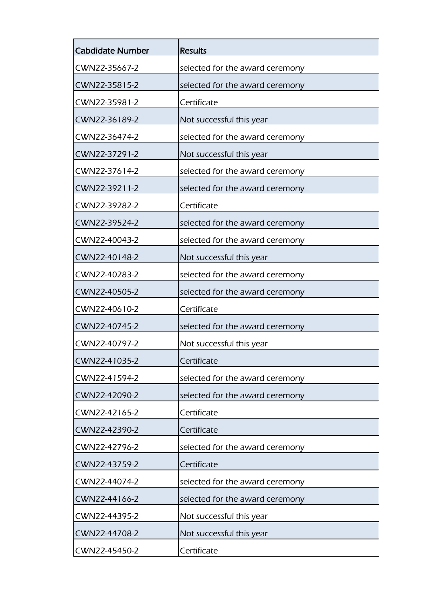| <b>Cabdidate Number</b> | <b>Results</b>                  |
|-------------------------|---------------------------------|
| CWN22-35667-2           | selected for the award ceremony |
| CWN22-35815-2           | selected for the award ceremony |
| CWN22-35981-2           | Certificate                     |
| CWN22-36189-2           | Not successful this year        |
| CWN22-36474-2           | selected for the award ceremony |
| CWN22-37291-2           | Not successful this year        |
| CWN22-37614-2           | selected for the award ceremony |
| CWN22-39211-2           | selected for the award ceremony |
| CWN22-39282-2           | Certificate                     |
| CWN22-39524-2           | selected for the award ceremony |
| CWN22-40043-2           | selected for the award ceremony |
| CWN22-40148-2           | Not successful this year        |
| CWN22-40283-2           | selected for the award ceremony |
| CWN22-40505-2           | selected for the award ceremony |
| CWN22-40610-2           | Certificate                     |
| CWN22-40745-2           | selected for the award ceremony |
| CWN22-40797-2           | Not successful this year        |
| CWN22-41035-2           | Certificate                     |
| CWN22-41594-2           | selected for the award ceremony |
| CWN22-42090-2           | selected for the award ceremony |
| CWN22-42165-2           | Certificate                     |
| CWN22-42390-2           | Certificate                     |
| CWN22-42796-2           | selected for the award ceremony |
| CWN22-43759-2           | Certificate                     |
| CWN22-44074-2           | selected for the award ceremony |
| CWN22-44166-2           | selected for the award ceremony |
| CWN22-44395-2           | Not successful this year        |
| CWN22-44708-2           | Not successful this year        |
| CWN22-45450-2           | Certificate                     |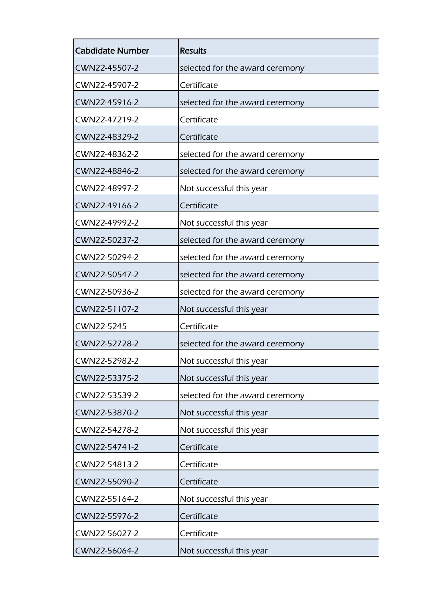| <b>Cabdidate Number</b> | <b>Results</b>                  |
|-------------------------|---------------------------------|
| CWN22-45507-2           | selected for the award ceremony |
| CWN22-45907-2           | Certificate                     |
| CWN22-45916-2           | selected for the award ceremony |
| CWN22-47219-2           | Certificate                     |
| CWN22-48329-2           | Certificate                     |
| CWN22-48362-2           | selected for the award ceremony |
| CWN22-48846-2           | selected for the award ceremony |
| CWN22-48997-2           | Not successful this year        |
| CWN22-49166-2           | Certificate                     |
| CWN22-49992-2           | Not successful this year        |
| CWN22-50237-2           | selected for the award ceremony |
| CWN22-50294-2           | selected for the award ceremony |
| CWN22-50547-2           | selected for the award ceremony |
| CWN22-50936-2           | selected for the award ceremony |
| CWN22-51107-2           | Not successful this year        |
| CWN22-5245              | Certificate                     |
| CWN22-52728-2           | selected for the award ceremony |
| CWN22-52982-2           | Not successful this year        |
| CWN22-53375-2           | Not successful this year        |
| CWN22-53539-2           | selected for the award ceremony |
| CWN22-53870-2           | Not successful this year        |
| CWN22-54278-2           | Not successful this year        |
| CWN22-54741-2           | Certificate                     |
| CWN22-54813-2           | Certificate                     |
| CWN22-55090-2           | Certificate                     |
| CWN22-55164-2           | Not successful this year        |
| CWN22-55976-2           | Certificate                     |
| CWN22-56027-2           | Certificate                     |
| CWN22-56064-2           | Not successful this year        |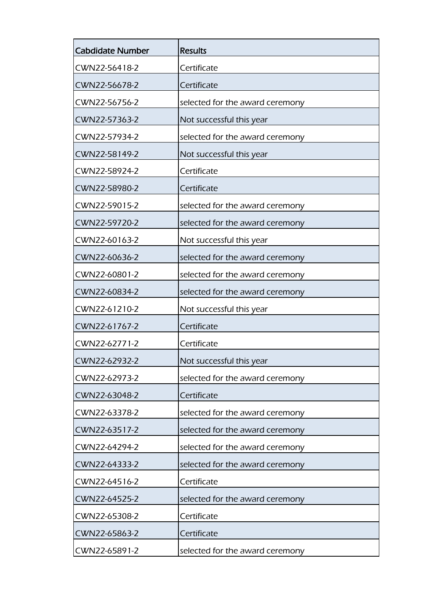| <b>Cabdidate Number</b> | <b>Results</b>                  |
|-------------------------|---------------------------------|
| CWN22-56418-2           | Certificate                     |
| CWN22-56678-2           | Certificate                     |
| CWN22-56756-2           | selected for the award ceremony |
| CWN22-57363-2           | Not successful this year        |
| CWN22-57934-2           | selected for the award ceremony |
| CWN22-58149-2           | Not successful this year        |
| CWN22-58924-2           | Certificate                     |
| CWN22-58980-2           | Certificate                     |
| CWN22-59015-2           | selected for the award ceremony |
| CWN22-59720-2           | selected for the award ceremony |
| CWN22-60163-2           | Not successful this year        |
| CWN22-60636-2           | selected for the award ceremony |
| CWN22-60801-2           | selected for the award ceremony |
| CWN22-60834-2           | selected for the award ceremony |
| CWN22-61210-2           | Not successful this year        |
| CWN22-61767-2           | Certificate                     |
| CWN22-62771-2           | Certificate                     |
| CWN22-62932-2           | Not successful this year        |
| CWN22-62973-2           | selected for the award ceremony |
| CWN22-63048-2           | Certificate                     |
| CWN22-63378-2           | selected for the award ceremony |
| CWN22-63517-2           | selected for the award ceremony |
| CWN22-64294-2           | selected for the award ceremony |
| CWN22-64333-2           | selected for the award ceremony |
| CWN22-64516-2           | Certificate                     |
| CWN22-64525-2           | selected for the award ceremony |
| CWN22-65308-2           | Certificate                     |
| CWN22-65863-2           | Certificate                     |
| CWN22-65891-2           | selected for the award ceremony |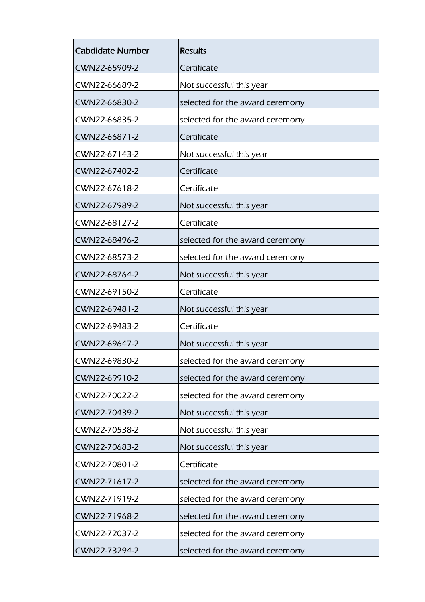| <b>Cabdidate Number</b> | <b>Results</b>                  |
|-------------------------|---------------------------------|
| CWN22-65909-2           | Certificate                     |
| CWN22-66689-2           | Not successful this year        |
| CWN22-66830-2           | selected for the award ceremony |
| CWN22-66835-2           | selected for the award ceremony |
| CWN22-66871-2           | Certificate                     |
| CWN22-67143-2           | Not successful this year        |
| CWN22-67402-2           | Certificate                     |
| CWN22-67618-2           | Certificate                     |
| CWN22-67989-2           | Not successful this year        |
| CWN22-68127-2           | Certificate                     |
| CWN22-68496-2           | selected for the award ceremony |
| CWN22-68573-2           | selected for the award ceremony |
| CWN22-68764-2           | Not successful this year        |
| CWN22-69150-2           | Certificate                     |
| CWN22-69481-2           | Not successful this year        |
| CWN22-69483-2           | Certificate                     |
| CWN22-69647-2           | Not successful this year        |
| CWN22-69830-2           | selected for the award ceremony |
| CWN22-69910-2           | selected for the award ceremony |
| CWN22-70022-2           | selected for the award ceremony |
| CWN22-70439-2           | Not successful this year        |
| CWN22-70538-2           | Not successful this year        |
| CWN22-70683-2           | Not successful this year        |
| CWN22-70801-2           | Certificate                     |
| CWN22-71617-2           | selected for the award ceremony |
| CWN22-71919-2           | selected for the award ceremony |
| CWN22-71968-2           | selected for the award ceremony |
| CWN22-72037-2           | selected for the award ceremony |
| CWN22-73294-2           | selected for the award ceremony |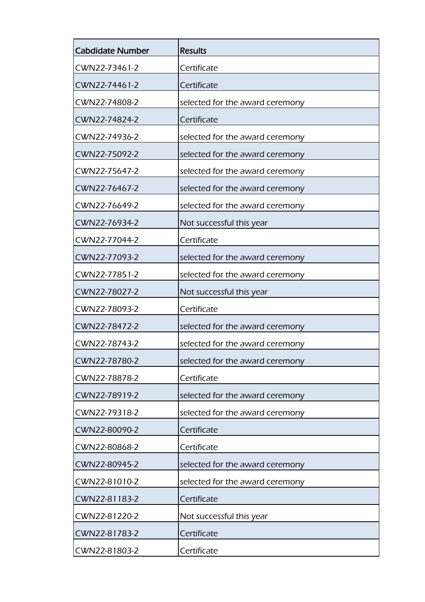| <b>Cabdidate Number</b> | <b>Results</b>                  |
|-------------------------|---------------------------------|
| CWN22-73461-2           | Certificate                     |
| CWN22-74461-2           | Certificate                     |
| CWN22-74808-2           | selected for the award ceremony |
| CWN22-74824-2           | Certificate                     |
| CWN22-74936-2           | selected for the award ceremony |
| CWN22-75092-2           | selected for the award ceremony |
| CWN22-75647-2           | selected for the award ceremony |
| CWN22-76467-2           | selected for the award ceremony |
| CWN22-76649-2           | selected for the award ceremony |
| CWN22-76934-2           | Not successful this year        |
| CWN22-77044-2           | Certificate                     |
| CWN22-77093-2           | selected for the award ceremony |
| CWN22-77851-2           | selected for the award ceremony |
| CWN22-78027-2           | Not successful this year        |
| CWN22-78093-2           | Certificate                     |
| CWN22-78472-2           | selected for the award ceremony |
| CWN22-78743-2           | selected for the award ceremony |
| CWN22-78780-2           | selected for the award ceremony |
| CWN22-78878-2           | Certificate                     |
| CWN22-78919-2           | selected for the award ceremony |
| CWN22-79318-2           | selected for the award ceremony |
| CWN22-80090-2           | Certificate                     |
| CWN22-80868-2           | Certificate                     |
| CWN22-80945-2           | selected for the award ceremony |
| CWN22-81010-2           | selected for the award ceremony |
| CWN22-81183-2           | Certificate                     |
| CWN22-81220-2           | Not successful this year        |
| CWN22-81783-2           | Certificate                     |
| CWN22-81803-2           | Certificate                     |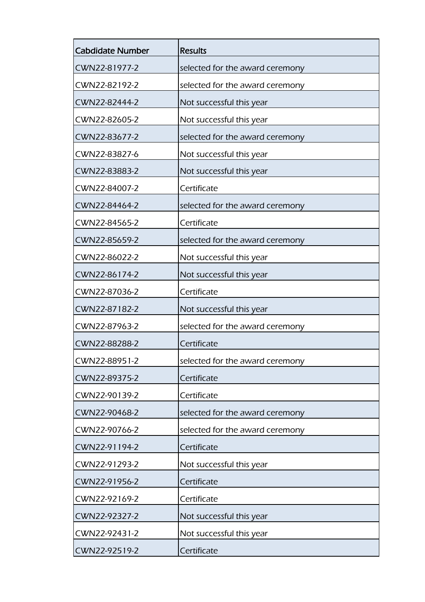| <b>Cabdidate Number</b> | <b>Results</b>                  |
|-------------------------|---------------------------------|
| CWN22-81977-2           | selected for the award ceremony |
| CWN22-82192-2           | selected for the award ceremony |
| CWN22-82444-2           | Not successful this year        |
| CWN22-82605-2           | Not successful this year        |
| CWN22-83677-2           | selected for the award ceremony |
| CWN22-83827-6           | Not successful this year        |
| CWN22-83883-2           | Not successful this year        |
| CWN22-84007-2           | Certificate                     |
| CWN22-84464-2           | selected for the award ceremony |
| CWN22-84565-2           | Certificate                     |
| CWN22-85659-2           | selected for the award ceremony |
| CWN22-86022-2           | Not successful this year        |
| CWN22-86174-2           | Not successful this year        |
| CWN22-87036-2           | Certificate                     |
| CWN22-87182-2           | Not successful this year        |
| CWN22-87963-2           | selected for the award ceremony |
| CWN22-88288-2           | Certificate                     |
| CWN22-88951-2           | selected for the award ceremony |
| CWN22-89375-2           | Certificate                     |
| CWN22-90139-2           | Certificate                     |
| CWN22-90468-2           | selected for the award ceremony |
| CWN22-90766-2           | selected for the award ceremony |
| CWN22-91194-2           | Certificate                     |
| CWN22-91293-2           | Not successful this year        |
| CWN22-91956-2           | Certificate                     |
| CWN22-92169-2           | Certificate                     |
| CWN22-92327-2           | Not successful this year        |
| CWN22-92431-2           | Not successful this year        |
| CWN22-92519-2           | Certificate                     |